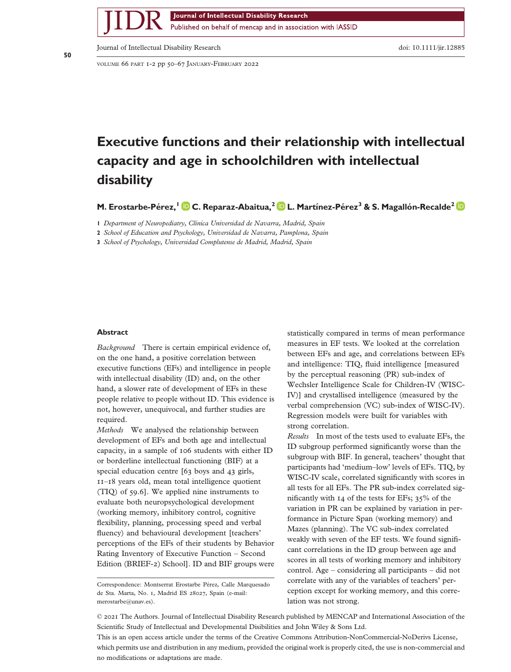Journal of Intellectual Disability Research Published on behalf of mencap and in association with IASSID

Journal of Intellectual Disability Research doi: 10.1111/jir.12885

VOLUME 66 PART 1-2 pp 50–67 JANUARY-FEBRUARY 2022

# **Executive functions and their relationship with intellectual capacity and age in schoolchildren with intellectual disability**

**M. Erostarbe-Pérez,<sup>1</sup> C. Reparaz-Abaitua,<sup>2</sup> L. Martínez-Pérez<sup>3</sup> & S. Magallón-Recalde<sup>2</sup>**

**1** *Department of Neuropediatry, Clínica Universidad de Navarra, Madrid, Spain*

**2** *School of Education and Psychology, Universidad de Navarra, Pamplona, Spain*

**3** *School of Psychology, Universidad Complutense de Madrid, Madrid, Spain*

# **Abstract**

*Background* There is certain empirical evidence of, on the one hand, a positive correlation between executive functions (EFs) and intelligence in people with intellectual disability (ID) and, on the other hand, a slower rate of development of EFs in these people relative to people without ID. This evidence is not, however, unequivocal, and further studies are required.

*Methods* We analysed the relationship between development of EFs and both age and intellectual capacity, in a sample of 106 students with either ID or borderline intellectual functioning (BIF) at a special education centre [63 boys and 43 girls, 11–18 years old, mean total intelligence quotient (TIQ) of 59.6]. We applied nine instruments to evaluate both neuropsychological development (working memory, inhibitory control, cognitive flexibility, planning, processing speed and verbal fluency) and behavioural development [teachers' perceptions of the EFs of their students by Behavior Rating Inventory of Executive Function – Second Edition (BRIEF-2) School]. ID and BIF groups were statistically compared in terms of mean performance measures in EF tests. We looked at the correlation between EFs and age, and correlations between EFs and intelligence: TIQ, fluid intelligence [measured by the perceptual reasoning (PR) sub-index of Wechsler Intelligence Scale for Children-IV (WISC-IV)] and crystallised intelligence (measured by the verbal comprehension (VC) sub-index of WISC-IV). Regression models were built for variables with strong correlation.

*Results* In most of the tests used to evaluate EFs, the ID subgroup performed significantly worse than the subgroup with BIF. In general, teachers' thought that participants had 'medium–low' levels of EFs. TIQ, by WISC-IV scale, correlated significantly with scores in all tests for all EFs. The PR sub-index correlated significantly with 14 of the tests for EFs; 35% of the variation in PR can be explained by variation in performance in Picture Span (working memory) and Mazes (planning). The VC sub-index correlated weakly with seven of the EF tests. We found significant correlations in the ID group between age and scores in all tests of working memory and inhibitory control. Age – considering all participants – did not correlate with any of the variables of teachers' perception except for working memory, and this correlation was not strong.

This is an open access article under the terms of the [Creative Commons Attribution-NonCommercial-NoDerivs](http://creativecommons.org/licenses/by-nc-nd/4.0/) License, which permits use and distribution in any medium, provided the original work is properly cited, the use is non-commercial and no modifications or adaptations are made.

bs\_bs\_banner

Correspondence: Montserrat Erostarbe Pérez, Calle Marquesado de Sta. Marta, No. 1, Madrid ES 28027, Spain (e-mail: [merostarbe@unav.es\)](mailto:merostarbe@unav.es).

<sup>©</sup> 2021 The Authors. Journal of Intellectual Disability Research published by MENCAP and International Association of the Scientific Study of Intellectual and Developmental Disibilities and John Wiley & Sons Ltd.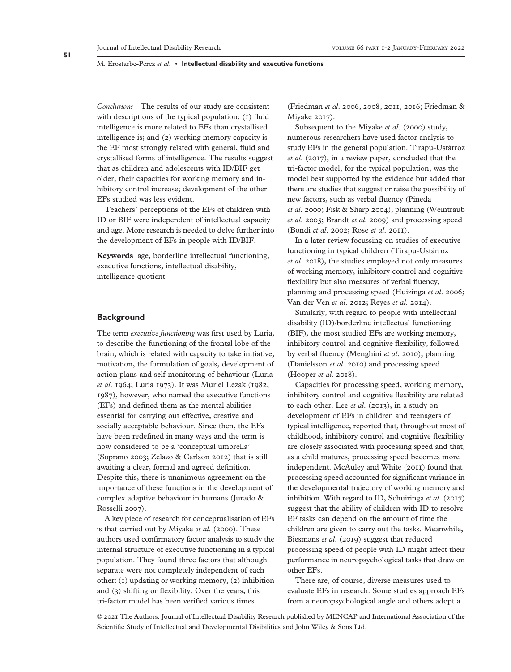*Conclusions* The results of our study are consistent with descriptions of the typical population: (1) fluid intelligence is more related to EFs than crystallised intelligence is; and (2) working memory capacity is the EF most strongly related with general, fluid and crystallised forms of intelligence. The results suggest that as children and adolescents with ID/BIF get older, their capacities for working memory and inhibitory control increase; development of the other EFs studied was less evident.

Teachers' perceptions of the EFs of children with ID or BIF were independent of intellectual capacity and age. More research is needed to delve further into the development of EFs in people with ID/BIF.

**Keywords** age, borderline intellectual functioning, executive functions, intellectual disability, intelligence quotient

## **Background**

The term *executive functioning* was first used by Luria, to describe the functioning of the frontal lobe of the brain, which is related with capacity to take initiative, motivation, the formulation of goals, development of action plans and self-monitoring of behaviour (Luria *et al*. 1964; Luria 1973). It was Muriel Lezak (1982, 1987), however, who named the executive functions (EFs) and defined them as the mental abilities essential for carrying out effective, creative and socially acceptable behaviour. Since then, the EFs have been redefined in many ways and the term is now considered to be a 'conceptual umbrella' (Soprano 2003; Zelazo & Carlson 2012) that is still awaiting a clear, formal and agreed definition. Despite this, there is unanimous agreement on the importance of these functions in the development of complex adaptive behaviour in humans (Jurado & Rosselli 2007).

A key piece of research for conceptualisation of EFs is that carried out by Miyake *et al*. (2000). These authors used confirmatory factor analysis to study the internal structure of executive functioning in a typical population. They found three factors that although separate were not completely independent of each other: (1) updating or working memory, (2) inhibition and (3) shifting or flexibility. Over the years, this tri-factor model has been verified various times

(Friedman *et al*. 2006, 2008, 2011, 2016; Friedman & Miyake 2017).

Subsequent to the Miyake *et al*. (2000) study, numerous researchers have used factor analysis to study EFs in the general population. Tirapu-Ustárroz *et al*. (2017), in a review paper, concluded that the tri-factor model, for the typical population, was the model best supported by the evidence but added that there are studies that suggest or raise the possibility of new factors, such as verbal fluency (Pineda *et al*. 2000; Fisk & Sharp 2004), planning (Weintraub *et al*. 2005; Brandt *et al*. 2009) and processing speed (Bondi *et al*. 2002; Rose *et al*. 2011).

In a later review focussing on studies of executive functioning in typical children (Tirapu-Ustárroz *et al*. 2018), the studies employed not only measures of working memory, inhibitory control and cognitive flexibility but also measures of verbal fluency, planning and processing speed (Huizinga *et al*. 2006; Van der Ven *et al*. 2012; Reyes *et al*. 2014).

Similarly, with regard to people with intellectual disability (ID)/borderline intellectual functioning (BIF), the most studied EFs are working memory, inhibitory control and cognitive flexibility, followed by verbal fluency (Menghini *et al*. 2010), planning (Danielsson *et al*. 2010) and processing speed (Hooper *et al*. 2018).

Capacities for processing speed, working memory, inhibitory control and cognitive flexibility are related to each other. Lee *et al*. (2013), in a study on development of EFs in children and teenagers of typical intelligence, reported that, throughout most of childhood, inhibitory control and cognitive flexibility are closely associated with processing speed and that, as a child matures, processing speed becomes more independent. McAuley and White (2011) found that processing speed accounted for significant variance in the developmental trajectory of working memory and inhibition. With regard to ID, Schuiringa *et al*. (2017) suggest that the ability of children with ID to resolve EF tasks can depend on the amount of time the children are given to carry out the tasks. Meanwhile, Biesmans *et al*. (2019) suggest that reduced processing speed of people with ID might affect their performance in neuropsychological tasks that draw on other EFs.

There are, of course, diverse measures used to evaluate EFs in research. Some studies approach EFs from a neuropsychological angle and others adopt a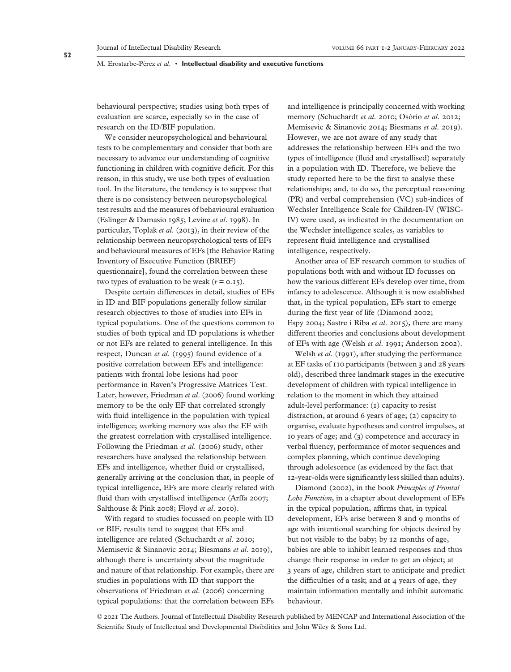behavioural perspective; studies using both types of evaluation are scarce, especially so in the case of research on the ID/BIF population.

We consider neuropsychological and behavioural tests to be complementary and consider that both are necessary to advance our understanding of cognitive functioning in children with cognitive deficit. For this reason, in this study, we use both types of evaluation tool. In the literature, the tendency is to suppose that there is no consistency between neuropsychological test results and the measures of behavioural evaluation (Eslinger & Damasio 1985; Levine *et al*. 1998). In particular, Toplak *et al*. (2013), in their review of the relationship between neuropsychological tests of EFs and behavioural measures of EFs [the Behavior Rating Inventory of Executive Function (BRIEF) questionnaire], found the correlation between these two types of evaluation to be weak  $(r = 0.15)$ .

Despite certain differences in detail, studies of EFs in ID and BIF populations generally follow similar research objectives to those of studies into EFs in typical populations. One of the questions common to studies of both typical and ID populations is whether or not EFs are related to general intelligence. In this respect, Duncan *et al*. (1995) found evidence of a positive correlation between EFs and intelligence: patients with frontal lobe lesions had poor performance in Raven's Progressive Matrices Test. Later, however, Friedman *et al*. (2006) found working memory to be the only EF that correlated strongly with fluid intelligence in the population with typical intelligence; working memory was also the EF with the greatest correlation with crystallised intelligence. Following the Friedman *et al*. (2006) study, other researchers have analysed the relationship between EFs and intelligence, whether fluid or crystallised, generally arriving at the conclusion that, in people of typical intelligence, EFs are more clearly related with fluid than with crystallised intelligence (Arffa 2007; Salthouse & Pink 2008; Floyd *et al*. 2010).

With regard to studies focussed on people with ID or BIF, results tend to suggest that EFs and intelligence are related (Schuchardt *et al*. 2010; Memisevic & Sinanovic 2014; Biesmans *et al*. 2019), although there is uncertainty about the magnitude and nature of that relationship. For example, there are studies in populations with ID that support the observations of Friedman *et al*. (2006) concerning typical populations: that the correlation between EFs

and intelligence is principally concerned with working memory (Schuchardt *et al*. 2010; Osório *et al*. 2012; Memisevic & Sinanovic 2014; Biesmans *et al*. 2019). However, we are not aware of any study that addresses the relationship between EFs and the two types of intelligence (fluid and crystallised) separately in a population with ID. Therefore, we believe the study reported here to be the first to analyse these relationships; and, to do so, the perceptual reasoning (PR) and verbal comprehension (VC) sub-indices of Wechsler Intelligence Scale for Children-IV (WISC-IV) were used, as indicated in the documentation on the Wechsler intelligence scales, as variables to represent fluid intelligence and crystallised intelligence, respectively.

Another area of EF research common to studies of populations both with and without ID focusses on how the various different EFs develop over time, from infancy to adolescence. Although it is now established that, in the typical population, EFs start to emerge during the first year of life (Diamond 2002; Espy 2004; Sastre i Riba *et al*. 2015), there are many different theories and conclusions about development of EFs with age (Welsh *et al*. 1991; Anderson 2002).

Welsh *et al*. (1991), after studying the performance at EF tasks of 110 participants (between 3 and 28 years old), described three landmark stages in the executive development of children with typical intelligence in relation to the moment in which they attained adult-level performance: (1) capacity to resist distraction, at around 6 years of age; (2) capacity to organise, evaluate hypotheses and control impulses, at 10 years of age; and (3) competence and accuracy in verbal fluency, performance of motor sequences and complex planning, which continue developing through adolescence (as evidenced by the fact that 12-year-olds were significantly less skilled than adults).

Diamond (2002), in the book *Principles of Frontal Lobe Function*, in a chapter about development of EFs in the typical population, affirms that, in typical development, EFs arise between 8 and 9 months of age with intentional searching for objects desired by but not visible to the baby; by 12 months of age, babies are able to inhibit learned responses and thus change their response in order to get an object; at 3 years of age, children start to anticipate and predict the difficulties of a task; and at 4 years of age, they maintain information mentally and inhibit automatic behaviour.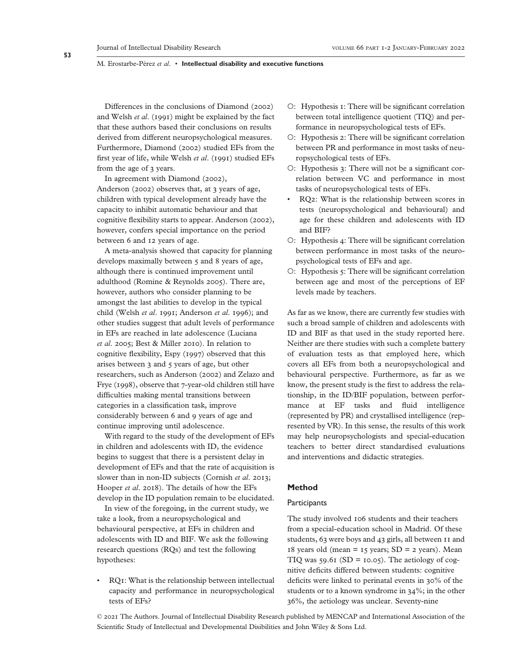Differences in the conclusions of Diamond (2002) and Welsh *et al*. (1991) might be explained by the fact that these authors based their conclusions on results derived from different neuropsychological measures. Furthermore, Diamond (2002) studied EFs from the first year of life, while Welsh *et al*. (1991) studied EFs from the age of 3 years.

In agreement with Diamond (2002), Anderson (2002) observes that, at 3 years of age, children with typical development already have the capacity to inhibit automatic behaviour and that cognitive flexibility starts to appear. Anderson (2002), however, confers special importance on the period between 6 and 12 years of age.

A meta-analysis showed that capacity for planning develops maximally between 5 and 8 years of age, although there is continued improvement until adulthood (Romine & Reynolds 2005). There are, however, authors who consider planning to be amongst the last abilities to develop in the typical child (Welsh *et al*. 1991; Anderson *et al*. 1996); and other studies suggest that adult levels of performance in EFs are reached in late adolescence (Luciana *et al*. 2005; Best & Miller 2010). In relation to cognitive flexibility, Espy (1997) observed that this arises between 3 and 5 years of age, but other researchers, such as Anderson (2002) and Zelazo and Frye (1998), observe that 7-year-old children still have difficulties making mental transitions between categories in a classification task, improve considerably between 6 and 9 years of age and continue improving until adolescence.

With regard to the study of the development of EFs in children and adolescents with ID, the evidence begins to suggest that there is a persistent delay in development of EFs and that the rate of acquisition is slower than in non-ID subjects (Cornish *et al*. 2013; Hooper *et al*. 2018). The details of how the EFs develop in the ID population remain to be elucidated.

In view of the foregoing, in the current study, we take a look, from a neuropsychological and behavioural perspective, at EFs in children and adolescents with ID and BIF. We ask the following research questions (RQs) and test the following hypotheses:

• RQ1: What is the relationship between intellectual capacity and performance in neuropsychological tests of EFs?

- ○: Hypothesis 1: There will be significant correlation between total intelligence quotient (TIQ) and performance in neuropsychological tests of EFs.
- ○: Hypothesis 2: There will be significant correlation between PR and performance in most tasks of neuropsychological tests of EFs.
- ○: Hypothesis 3: There will not be a significant correlation between VC and performance in most tasks of neuropsychological tests of EFs.
- RQ2: What is the relationship between scores in tests (neuropsychological and behavioural) and age for these children and adolescents with ID and BIF?
- ○: Hypothesis 4: There will be significant correlation between performance in most tasks of the neuropsychological tests of EFs and age.
- ○: Hypothesis 5: There will be significant correlation between age and most of the perceptions of EF levels made by teachers.

As far as we know, there are currently few studies with such a broad sample of children and adolescents with ID and BIF as that used in the study reported here. Neither are there studies with such a complete battery of evaluation tests as that employed here, which covers all EFs from both a neuropsychological and behavioural perspective. Furthermore, as far as we know, the present study is the first to address the relationship, in the ID/BIF population, between performance at EF tasks and fluid intelligence (represented by PR) and crystallised intelligence (represented by VR). In this sense, the results of this work may help neuropsychologists and special-education teachers to better direct standardised evaluations and interventions and didactic strategies.

# **Method**

## **Participants**

The study involved 106 students and their teachers from a special-education school in Madrid. Of these students, 63 were boys and 43 girls, all between 11 and 18 years old (mean =  $15$  years; SD =  $2$  years). Mean TIQ was  $59.61$  (SD = 10.05). The aetiology of cognitive deficits differed between students: cognitive deficits were linked to perinatal events in 30% of the students or to a known syndrome in 34%; in the other 36%, the aetiology was unclear. Seventy-nine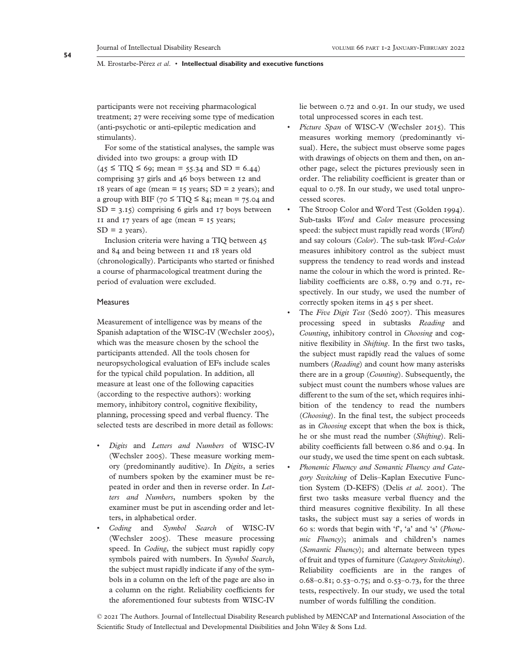participants were not receiving pharmacological treatment; 27 were receiving some type of medication (anti-psychotic or anti-epileptic medication and stimulants).

For some of the statistical analyses, the sample was divided into two groups: a group with ID  $(45 \leq TIO \leq 69; \text{ mean} = 55.34 \text{ and SD} = 6.44)$ comprising 37 girls and 46 boys between 12 and 18 years of age (mean  $=$  15 years; SD  $=$  2 years); and a group with BIF (70  $\leq$  TIO  $\leq$  84; mean = 75.04 and  $SD = 3.15$  comprising 6 girls and 17 boys between 11 and 17 years of age (mean  $= 15$  years;  $SD = 2$  years).

Inclusion criteria were having a TIQ between 45 and 84 and being between 11 and 18 years old (chronologically). Participants who started or finished a course of pharmacological treatment during the period of evaluation were excluded.

# **Measures**

Measurement of intelligence was by means of the Spanish adaptation of the WISC-IV (Wechsler 2005), which was the measure chosen by the school the participants attended. All the tools chosen for neuropsychological evaluation of EFs include scales for the typical child population. In addition, all measure at least one of the following capacities (according to the respective authors): working memory, inhibitory control, cognitive flexibility, planning, processing speed and verbal fluency. The selected tests are described in more detail as follows:

- *Digits* and *Letters and Numbers* of WISC-IV (Wechsler 2005). These measure working memory (predominantly auditive). In *Digits*, a series of numbers spoken by the examiner must be repeated in order and then in reverse order. In *Letters and Numbers*, numbers spoken by the examiner must be put in ascending order and letters, in alphabetical order.
- *Coding* and *Symbol Search* of WISC-IV (Wechsler 2005). These measure processing speed. In *Coding*, the subject must rapidly copy symbols paired with numbers. In *Symbol Search*, the subject must rapidly indicate if any of the symbols in a column on the left of the page are also in a column on the right. Reliability coefficients for the aforementioned four subtests from WISC-IV

lie between 0.72 and 0.91. In our study, we used total unprocessed scores in each test.

- *Picture Span* of WISC-V (Wechsler 2015). This measures working memory (predominantly visual). Here, the subject must observe some pages with drawings of objects on them and then, on another page, select the pictures previously seen in order. The reliability coefficient is greater than or equal to 0.78. In our study, we used total unprocessed scores.
- The Stroop Color and Word Test (Golden 1994). Sub-tasks *Word* and *Color* measure processing speed: the subject must rapidly read words (*Word*) and say colours (*Color*). The sub-task *Word–Color* measures inhibitory control as the subject must suppress the tendency to read words and instead name the colour in which the word is printed. Reliability coefficients are 0.88, 0.79 and 0.71, respectively. In our study, we used the number of correctly spoken items in 45 s per sheet.
- The *Five Digit Test* (Sedó 2007). This measures processing speed in subtasks *Reading* and *Counting*, inhibitory control in *Choosing* and cognitive flexibility in *Shifting*. In the first two tasks, the subject must rapidly read the values of some numbers (*Reading*) and count how many asterisks there are in a group (*Counting*). Subsequently, the subject must count the numbers whose values are different to the sum of the set, which requires inhibition of the tendency to read the numbers (*Choosing*). In the final test, the subject proceeds as in *Choosing* except that when the box is thick, he or she must read the number (*Shifting*). Reliability coefficients fall between 0.86 and 0.94. In our study, we used the time spent on each subtask.
- *Phonemic Fluency and Semantic Fluency and Category Switching* of Delis–Kaplan Executive Function System (D-KEFS) (Delis *et al*. 2001). The first two tasks measure verbal fluency and the third measures cognitive flexibility. In all these tasks, the subject must say a series of words in 60 s: words that begin with 'f', 'a' and 's' (*Phonemic Fluency*); animals and children's names (*Semantic Fluency*); and alternate between types of fruit and types of furniture (*Category Switching*). Reliability coefficients are in the ranges of 0.68–0.81; 0.53–0.75; and 0.53–0.73, for the three tests, respectively. In our study, we used the total number of words fulfilling the condition.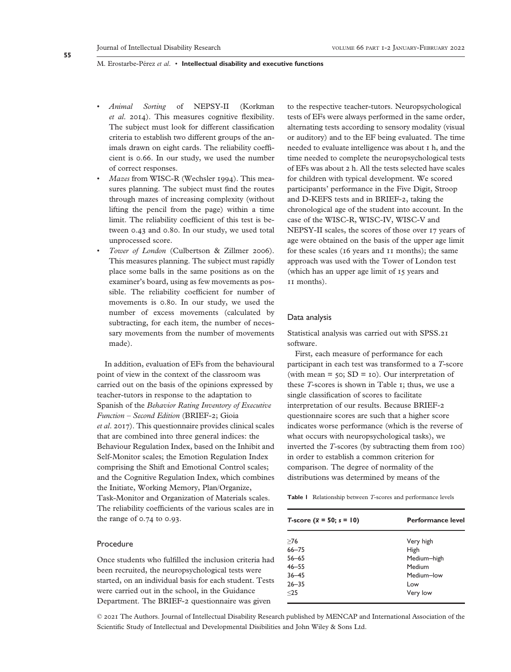- *Animal Sorting* of NEPSY-II (Korkman *et al*. 2014). This measures cognitive flexibility. The subject must look for different classification criteria to establish two different groups of the animals drawn on eight cards. The reliability coefficient is 0.66. In our study, we used the number of correct responses.
- *Mazes* from WISC-R (Wechsler 1994). This measures planning. The subject must find the routes through mazes of increasing complexity (without lifting the pencil from the page) within a time limit. The reliability coefficient of this test is between 0.43 and 0.80. In our study, we used total unprocessed score.
- *Tower of London* (Culbertson & Zillmer 2006). This measures planning. The subject must rapidly place some balls in the same positions as on the examiner's board, using as few movements as possible. The reliability coefficient for number of movements is 0.80. In our study, we used the number of excess movements (calculated by subtracting, for each item, the number of necessary movements from the number of movements made).

In addition, evaluation of EFs from the behavioural point of view in the context of the classroom was carried out on the basis of the opinions expressed by teacher-tutors in response to the adaptation to Spanish of the *Behavior Rating Inventory of Executive Function – Second Edition* (BRIEF-2; Gioia *et al*. 2017). This questionnaire provides clinical scales that are combined into three general indices: the Behaviour Regulation Index, based on the Inhibit and Self-Monitor scales; the Emotion Regulation Index comprising the Shift and Emotional Control scales; and the Cognitive Regulation Index, which combines the Initiate, Working Memory, Plan/Organize, Task-Monitor and Organization of Materials scales. The reliability coefficients of the various scales are in the range of 0.74 to 0.93.

# Procedure

Once students who fulfilled the inclusion criteria had been recruited, the neuropsychological tests were started, on an individual basis for each student. Tests were carried out in the school, in the Guidance Department. The BRIEF-2 questionnaire was given

to the respective teacher-tutors. Neuropsychological tests of EFs were always performed in the same order, alternating tests according to sensory modality (visual or auditory) and to the EF being evaluated. The time needed to evaluate intelligence was about 1 h, and the time needed to complete the neuropsychological tests of EFs was about 2 h. All the tests selected have scales for children with typical development. We scored participants' performance in the Five Digit, Stroop and D-KEFS tests and in BRIEF-2, taking the chronological age of the student into account. In the case of the WISC-R, WISC-IV, WISC-V and NEPSY-II scales, the scores of those over 17 years of age were obtained on the basis of the upper age limit for these scales (16 years and 11 months); the same approach was used with the Tower of London test (which has an upper age limit of 15 years and 11 months).

## Data analysis

Statistical analysis was carried out with SPSS.21 software.

First, each measure of performance for each participant in each test was transformed to a *T*-score (with mean  $=$  50; SD  $=$  10). Our interpretation of these *T*-scores is shown in Table 1; thus, we use a single classification of scores to facilitate interpretation of our results. Because BRIEF-2 questionnaire scores are such that a higher score indicates worse performance (which is the reverse of what occurs with neuropsychological tasks), we inverted the *T*-scores (by subtracting them from 100) in order to establish a common criterion for comparison. The degree of normality of the distributions was determined by means of the

|  | <b>Table I</b> Relationship between <i>T</i> -scores and performance levels |  |  |  |  |  |  |
|--|-----------------------------------------------------------------------------|--|--|--|--|--|--|
|--|-----------------------------------------------------------------------------|--|--|--|--|--|--|

| T-score $(\bar{x} = 50; s = 10)$ | <b>Performance level</b> |
|----------------------------------|--------------------------|
| >76                              | Very high                |
| $66 - 75$                        | High                     |
| $56 - 65$                        | Medium-high              |
| $46 - 55$                        | Medium                   |
| $36 - 45$                        | Medium-low               |
| $26 - 35$                        | Low                      |
| $<$ 25                           | Very low                 |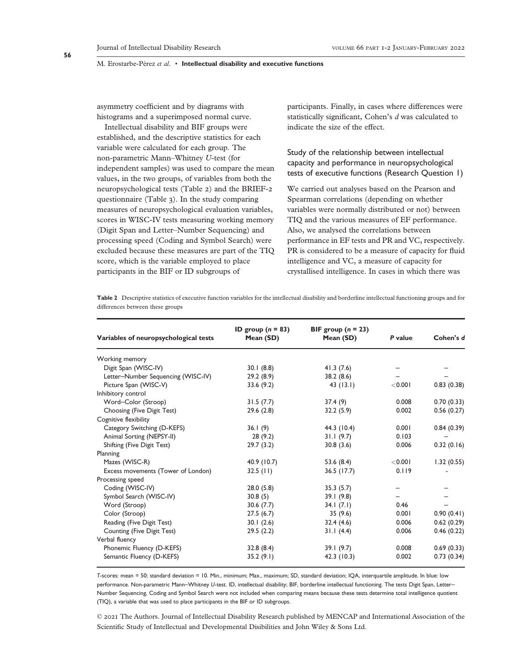asymmetry coefficient and by diagrams with histograms and a superimposed normal curve.

Intellectual disability and BIF groups were established, and the descriptive statistics for each variable were calculated for each group. The non-parametric Mann–Whitney *U*-test (for independent samples) was used to compare the mean values, in the two groups, of variables from both the neuropsychological tests (Table 2) and the BRIEF-2 questionnaire (Table 3). In the study comparing measures of neuropsychological evaluation variables, scores in WISC-IV tests measuring working memory (Digit Span and Letter–Number Sequencing) and processing speed (Coding and Symbol Search) were excluded because these measures are part of the TIQ score, which is the variable employed to place participants in the BIF or ID subgroups of

participants. Finally, in cases where differences were statistically significant, Cohen's *d* was calculated to indicate the size of the effect.

Study of the relationship between intellectual capacity and performance in neuropsychological tests of executive functions (Research Question 1)

We carried out analyses based on the Pearson and Spearman correlations (depending on whether variables were normally distributed or not) between TIQ and the various measures of EF performance. Also, we analysed the correlations between performance in EF tests and PR and VC, respectively. PR is considered to be a measure of capacity for fluid intelligence and VC, a measure of capacity for crystallised intelligence. In cases in which there was

Table 2 Descriptive statistics of executive function variables for the intellectual disability and borderline intellectual functioning groups and for differences between these groups

| Variables of neuropsychological tests | ID group $(n = 83)$<br>Mean (SD) | BIF group $(n = 23)$<br>Mean (SD) | P value   | Cohen's d  |
|---------------------------------------|----------------------------------|-----------------------------------|-----------|------------|
| Working memory                        |                                  |                                   |           |            |
| Digit Span (WISC-IV)                  | 30.1(8.8)                        | 41.3(7.6)                         |           |            |
| Letter-Number Sequencing (WISC-IV)    | 29.2(8.9)                        | 38.2(8.6)                         |           |            |
| Picture Span (WISC-V)                 | 33.6(9.2)                        | 43(13.1)                          | $<$ 0.001 | 0.83(0.38) |
| Inhibitory control                    |                                  |                                   |           |            |
| Word-Color (Stroop)                   | 31.5(7.7)                        | 37.4 (9)                          | 0.008     | 0.70(0.33) |
| Choosing (Five Digit Test)            | 29.6(2.8)                        | 32.2(5.9)                         | 0.002     | 0.56(0.27) |
| Cognitive flexibility                 |                                  |                                   |           |            |
| Category Switching (D-KEFS)           | 36.1(9)                          | 44.3 (10.4)                       | 0.001     | 0.84(0.39) |
| Animal Sorting (NEPSY-II)             | 28(9.2)                          | 31.1(9.7)                         | 0.103     |            |
| Shifting (Five Digit Test)            | 29.7(3.2)                        | 30.8(3.6)                         | 0.006     | 0.32(0.16) |
| Planning                              |                                  |                                   |           |            |
| Mazes (WISC-R)                        | 40.9 (10.7)                      | 53.6(8.4)                         | $<$ 0.001 | 1.32(0.55) |
| Excess movements (Tower of London)    | $32.5$ (11)                      | $36.5$ (17.7)                     | 0.119     |            |
| Processing speed                      |                                  |                                   |           |            |
| Coding (WISC-IV)                      | 28.0(5.8)                        | 35.3(5.7)                         |           |            |
| Symbol Search (WISC-IV)               | 30.8(5)                          | 39.1(9.8)                         |           |            |
| Word (Stroop)                         | 30.6(7.7)                        | 34.1(7.1)                         | 0.46      |            |
| Color (Stroop)                        | 27.5(6.7)                        | 35(9.6)                           | 0.001     | 0.90(0.41) |
| Reading (Five Digit Test)             | 30.1(2.6)                        | 32.4(4.6)                         | 0.006     | 0.62(0.29) |
| Counting (Five Digit Test)            | 29.5(2.2)                        | 31.1(4.4)                         | 0.006     | 0.46(0.22) |
| Verbal fluency                        |                                  |                                   |           |            |
| Phonemic Fluency (D-KEFS)             | 32.8(8.4)                        | 39.1(9.7)                         | 0.008     | 0.69(0.33) |
| Semantic Fluency (D-KEFS)             | 35.2(9.1)                        | 42.3(10.3)                        | 0.002     | 0.73(0.34) |

*T*-scores: mean = 50; standard deviation = 10. Min., minimum; Max., maximum; SD, standard deviation; IQA, interquartile amplitude. In blue: low performance. Non-parametric Mann–Whitney *U*-test. ID, intellectual disability; BIF, borderline intellectual functioning. The tests Digit Span, Letter– Number Sequencing, Coding and Symbol Search were not included when comparing means because these tests determine total intelligence quotient (TIQ), a variable that was used to place participants in the BIF or ID subgroups.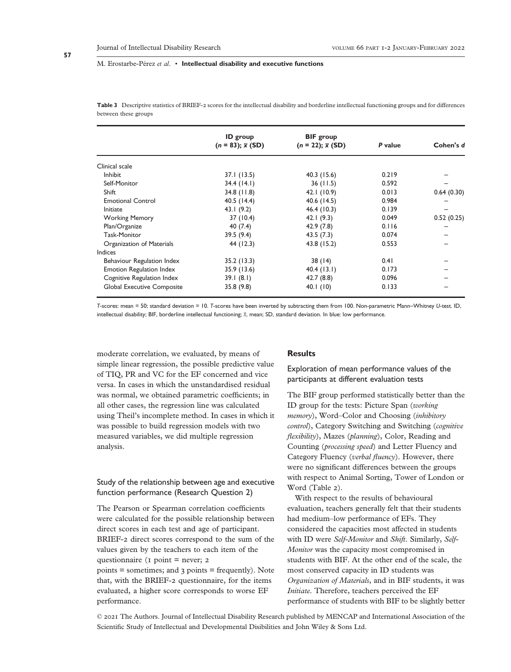#### Journal of Intellectual Disability Research VOLUME 66 PART 1-2 JANUARY-FEBRUARY 2022

#### M. Erostarbe-Pérez *et al*. • **Intellectual disability and executive functions**

|                                 | <b>ID</b> group<br>$(n = 83); \bar{x} (SD)$ | <b>BIF</b> group<br>$(n = 22); \overline{x}$ (SD) | P value | Cohen's d  |
|---------------------------------|---------------------------------------------|---------------------------------------------------|---------|------------|
|                                 |                                             |                                                   |         |            |
| Clinical scale                  |                                             |                                                   |         |            |
| <b>Inhibit</b>                  | 37.1 (13.5)                                 | 40.3(15.6)                                        | 0.219   |            |
| Self-Monitor                    | 34.4(14.1)                                  | 36(11.5)                                          | 0.592   |            |
| <b>Shift</b>                    | $34.8$ (11.8)                               | 42.1 (10.9)                                       | 0.013   | 0.64(0.30) |
| <b>Emotional Control</b>        | 40.5 $(14.4)$                               | 40.6 (14.5)                                       | 0.984   |            |
| Initiate                        | 43.1 $(9.2)$                                | 46.4 (10.3)                                       | 0.139   |            |
| <b>Working Memory</b>           | 37 (10.4)                                   | 42.1 $(9.3)$                                      | 0.049   | 0.52(0.25) |
| Plan/Organize                   | 40(7.4)                                     | 42.9(7.8)                                         | 0.116   |            |
| Task-Monitor                    | 39.5(9.4)                                   | 43.5(7.3)                                         | 0.074   |            |
| Organization of Materials       | 44 (12.3)                                   | 43.8 (15.2)                                       | 0.553   |            |
| Indices                         |                                             |                                                   |         |            |
| Behaviour Regulation Index      | 35.2(13.3)                                  | 38(14)                                            | 0.41    |            |
| <b>Emotion Regulation Index</b> | 35.9 (13.6)                                 | 40.4(13.1)                                        | 0.173   |            |
| Cognitive Regulation Index      | 39.1(8.1)                                   | 42.7(8.8)                                         | 0.096   |            |
| Global Executive Composite      | 35.8(9.8)                                   | 40. $(10)$                                        | 0.133   |            |

**Table 3** Descriptive statistics of BRIEF-2 scores for the intellectual disability and borderline intellectual functioning groups and for differences between these groups

*T*-scores: mean = 50; standard deviation = 10. *T*-scores have been inverted by subtracting them from 100. Non-parametric Mann–Whitney *U*-test. ID, intellectual disability; BIF, borderline intellectual functioning; *x*, mean; SD, standard deviation. In blue: low performance.

moderate correlation, we evaluated, by means of simple linear regression, the possible predictive value of TIQ, PR and VC for the EF concerned and vice versa. In cases in which the unstandardised residual was normal, we obtained parametric coefficients; in all other cases, the regression line was calculated using Theil's incomplete method. In cases in which it was possible to build regression models with two measured variables, we did multiple regression analysis.

# Study of the relationship between age and executive function performance (Research Question 2)

The Pearson or Spearman correlation coefficients were calculated for the possible relationship between direct scores in each test and age of participant. BRIEF-2 direct scores correspond to the sum of the values given by the teachers to each item of the questionnaire (1 point = never; 2 points = sometimes; and 3 points = frequently). Note that, with the BRIEF-2 questionnaire, for the items evaluated, a higher score corresponds to worse EF performance.

## **Results**

Exploration of mean performance values of the participants at different evaluation tests

The BIF group performed statistically better than the ID group for the tests: Picture Span (*working memory*), Word–Color and Choosing (*inhibitory control*), Category Switching and Switching (*cognitive flexibility*), Mazes (*planning*), Color, Reading and Counting (*processing speed*) and Letter Fluency and Category Fluency (*verbal fluency*). However, there were no significant differences between the groups with respect to Animal Sorting, Tower of London or Word (Table 2).

With respect to the results of behavioural evaluation, teachers generally felt that their students had medium–low performance of EFs. They considered the capacities most affected in students with ID were *Self-Monitor* and *Shift*. Similarly, *Self-Monitor* was the capacity most compromised in students with BIF. At the other end of the scale, the most conserved capacity in ID students was *Organization of Materials*, and in BIF students, it was *Initiate*. Therefore, teachers perceived the EF performance of students with BIF to be slightly better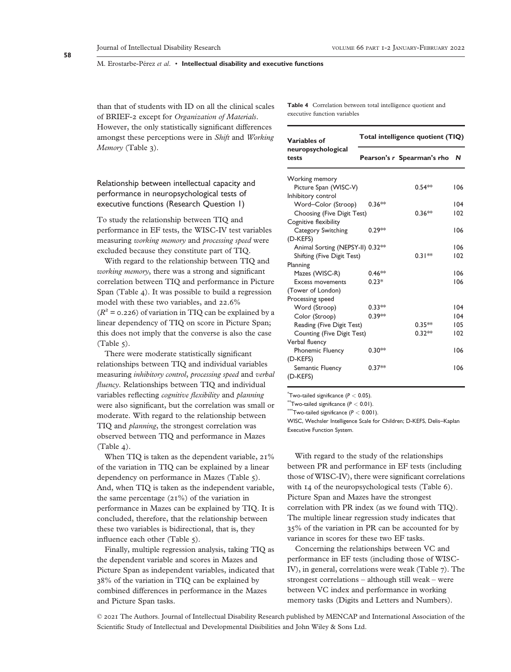#### Journal of Intellectual Disability Research VOLUME 66 PART 1-2 JANUARY-FEBRUARY 2022

#### M. Erostarbe-Pérez *et al*. • **Intellectual disability and executive functions**

than that of students with ID on all the clinical scales of BRIEF-2 except for *Organization of Materials*. However, the only statistically significant differences amongst these perceptions were in *Shift* and *Working Memory* (Table 3).

Relationship between intellectual capacity and performance in neuropsychological tests of executive functions (Research Question 1)

To study the relationship between TIQ and performance in EF tests, the WISC-IV test variables measuring *working memory* and *processing speed* were excluded because they constitute part of TIQ.

With regard to the relationship between TIQ and *working memory*, there was a strong and significant correlation between TIQ and performance in Picture Span (Table 4). It was possible to build a regression model with these two variables, and 22.6%  $(R^2 = 0.226)$  of variation in TIQ can be explained by a linear dependency of TIQ on score in Picture Span; this does not imply that the converse is also the case (Table 5).

There were moderate statistically significant relationships between TIQ and individual variables measuring *inhibitory control*, *processing speed* and *verbal fluency*. Relationships between TIQ and individual variables reflecting *cognitive flexibility* and *planning* were also significant, but the correlation was small or moderate. With regard to the relationship between TIQ and *planning*, the strongest correlation was observed between TIQ and performance in Mazes (Table 4).

When TIQ is taken as the dependent variable,  $21\%$ of the variation in TIQ can be explained by a linear dependency on performance in Mazes (Table 5). And, when TIQ is taken as the independent variable, the same percentage (21%) of the variation in performance in Mazes can be explained by TIQ. It is concluded, therefore, that the relationship between these two variables is bidirectional, that is, they influence each other (Table 5).

Finally, multiple regression analysis, taking TIQ as the dependent variable and scores in Mazes and Picture Span as independent variables, indicated that 38% of the variation in TIQ can be explained by combined differences in performance in the Mazes and Picture Span tasks.

**Table 4** Correlation between total intelligence quotient and executive function variables

| Variables of                     |          | Total intelligence quotient (TIQ) |     |
|----------------------------------|----------|-----------------------------------|-----|
| neuropsychological<br>tests      |          | Pearson's r Spearman's rho N      |     |
| Working memory                   |          |                                   |     |
| Picture Span (WISC-V)            |          | $0.54**$                          | 106 |
| Inhibitory control               |          |                                   |     |
| Word-Color (Stroop)              | $0.36**$ |                                   | 104 |
| Choosing (Five Digit Test)       |          | $0.36**$                          | 102 |
| Cognitive flexibility            |          |                                   |     |
| Category Switching               | $0.29**$ |                                   | 106 |
| (D-KEFS)                         |          |                                   |     |
| Animal Sorting (NEPSY-II) 0.32** |          |                                   | 106 |
| Shifting (Five Digit Test)       |          | $0.31**$                          | 102 |
| Planning                         |          |                                   |     |
| Mazes (WISC-R)                   | $0.46**$ |                                   | 106 |
| <b>Excess movements</b>          | $0.23*$  |                                   | 106 |
| (Tower of London)                |          |                                   |     |
| Processing speed                 |          |                                   |     |
| Word (Stroop)                    | $0.33**$ |                                   | 104 |
| Color (Stroop)                   | $0.39**$ |                                   | 104 |
| Reading (Five Digit Test)        |          | $0.35**$                          | 105 |
| Counting (Five Digit Test)       |          | $0.32**$                          | 102 |
| Verbal fluency                   |          |                                   |     |
| <b>Phonemic Fluency</b>          | $0.30**$ |                                   | 106 |
| (D-KEFS)                         |          |                                   |     |
| Semantic Fluency                 | $0.37**$ |                                   | 106 |
| (D-KEFS)                         |          |                                   |     |

\* Two-tailed significance (*P <* 0.05).

 $*$ Two-tailed significance  $(P < 0.01)$ .

 $*$ Two-tailed significance ( $P < 0.001$ ).

WISC, Wechsler Intelligence Scale for Children; D-KEFS, Delis–Kaplan Executive Function System.

With regard to the study of the relationships between PR and performance in EF tests (including those of WISC-IV), there were significant correlations with 14 of the neuropsychological tests (Table 6). Picture Span and Mazes have the strongest correlation with PR index (as we found with TIQ). The multiple linear regression study indicates that 35% of the variation in PR can be accounted for by variance in scores for these two EF tasks.

Concerning the relationships between VC and performance in EF tests (including those of WISC-IV), in general, correlations were weak (Table 7). The strongest correlations – although still weak – were between VC index and performance in working memory tasks (Digits and Letters and Numbers).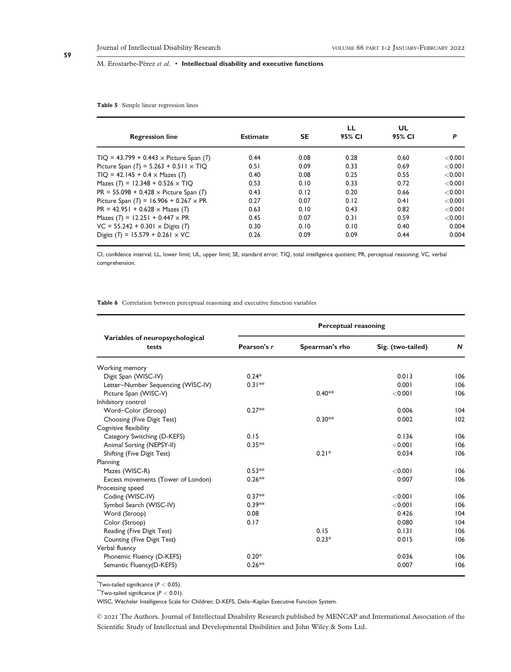#### **Table 5** Simple linear regression lines

| <b>Regression line</b>                         | <b>Estimate</b> | <b>SE</b> | LL<br>95% CI | UL<br>95% CI | P          |
|------------------------------------------------|-----------------|-----------|--------------|--------------|------------|
| $TIO = 43.799 + 0.443 \times$ Picture Span (T) | 0.44            | 0.08      | 0.28         | 0.60         | $<$ 0.00 l |
| Picture Span $(T) = 5.263 + 0.511 \times TIQ$  | 0.51            | 0.09      | 0.33         | 0.69         | < 0.001    |
| $TIO = 42.145 + 0.4 \times Mazes (T)$          | 0.40            | 0.08      | 0.25         | 0.55         | < 0.001    |
| Mazes (T) = 12.348 + 0.526 $\times$ TIQ        | 0.53            | 0.10      | 0.33         | 0.72         | $<$ 0.001  |
| $PR = 55.098 + 0.428 \times$ Picture Span (T)  | 0.43            | 0.12      | 0.20         | 0.66         | $<$ 0.001  |
| Picture Span $(T) = 16.906 + 0.267 \times PR$  | 0.27            | 0.07      | 0.12         | 0.41         | < 0.001    |
| $PR = 42.951 + 0.628 \times \text{Mazes}$ (T)  | 0.63            | 0.10      | 0.43         | 0.82         | < 0.001    |
| Mazes $(T) = 12.251 + 0.447 \times PR$         | 0.45            | 0.07      | 0.31         | 0.59         | $<$ 0.00 l |
| $VC = 55.242 + 0.301 \times Digits (T)$        | 0.30            | 0.10      | 0.10         | 0.40         | 0.004      |
| Digits (T) = 15.579 + 0.261 $\times$ VC        | 0.26            | 0.09      | 0.09         | 0.44         | 0.004      |

CI, confidence interval; LL, lower limit; UL, upper limit; SE, standard error; TIQ, total intelligence quotient; PR, perceptual reasoning; VC, verbal comprehension.

#### **Table 6** Correlation between perceptual reasoning and executive function variables

|                                          | <b>Perceptual reasoning</b> |                |                   |     |  |
|------------------------------------------|-----------------------------|----------------|-------------------|-----|--|
| Variables of neuropsychological<br>tests | Pearson's r                 | Spearman's rho | Sig. (two-tailed) | N   |  |
| Working memory                           |                             |                |                   |     |  |
| Digit Span (WISC-IV)                     | $0.24*$                     |                | 0.013             | 106 |  |
| Letter-Number Sequencing (WISC-IV)       | $0.31**$                    |                | 0.001             | 106 |  |
| Picture Span (WISC-V)                    |                             | $0.40**$       | < 0.001           | 106 |  |
| Inhibitory control                       |                             |                |                   |     |  |
| Word-Color (Stroop)                      | $0.27**$                    |                | 0.006             | 104 |  |
| Choosing (Five Digit Test)               |                             | $0.30**$       | 0.002             | 102 |  |
| Cognitive flexibility                    |                             |                |                   |     |  |
| Category Switching (D-KEFS)              | 0.15                        |                | 0.136             | 106 |  |
| Animal Sorting (NEPSY-II)                | $0.35**$                    |                | < 0.001           | 106 |  |
| Shifting (Five Digit Test)               |                             | $0.21*$        | 0.034             | 106 |  |
| Planning                                 |                             |                |                   |     |  |
| Mazes (WISC-R)                           | $0.53**$                    |                | < 0.001           | 106 |  |
| Excess movements (Tower of London)       | $0.26**$                    |                | 0.007             | 106 |  |
| Processing speed                         |                             |                |                   |     |  |
| Coding (WISC-IV)                         | $0.37**$                    |                | < 0.001           | 106 |  |
| Symbol Search (WISC-IV)                  | $0.39**$                    |                | < 0.001           | 106 |  |
| Word (Stroop)                            | 0.08                        |                | 0.426             | 104 |  |
| Color (Stroop)                           | 0.17                        |                | 0.080             | 104 |  |
| Reading (Five Digit Test)                |                             | 0.15           | 0.131             | 106 |  |
| Counting (Five Digit Test)               |                             | $0.23*$        | 0.015             | 106 |  |
| Verbal fluency                           |                             |                |                   |     |  |
| Phonemic Fluency (D-KEFS)                | $0.20*$                     |                | 0.036             | 106 |  |
| Semantic Fluency(D-KEFS)                 | $0.26**$                    |                | 0.007             | 106 |  |

\* Two-tailed significance (*P <* 0.05).

\*\*Two-tailed significance (*P <* 0.01).

WISC, Wechsler Intelligence Scale for Children; D-KEFS, Delis–Kaplan Executive Function System.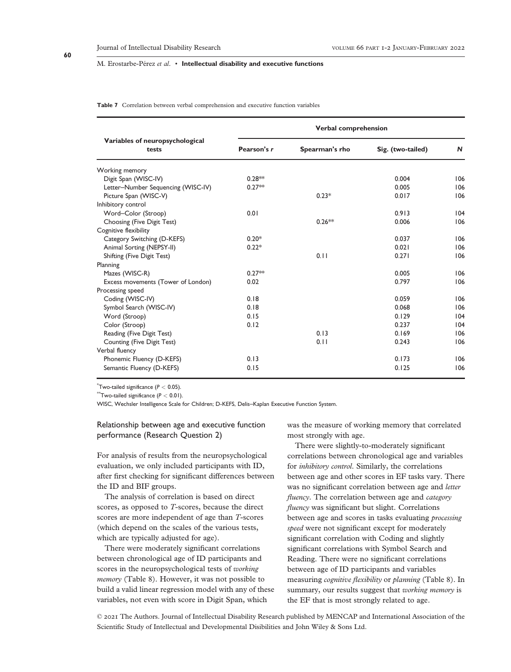#### **Table 7** Correlation between verbal comprehension and executive function variables

|                                          |             | <b>Verbal comprehension</b> |                   |     |  |  |
|------------------------------------------|-------------|-----------------------------|-------------------|-----|--|--|
| Variables of neuropsychological<br>tests | Pearson's r | Spearman's rho              | Sig. (two-tailed) | N   |  |  |
| Working memory                           |             |                             |                   |     |  |  |
| Digit Span (WISC-IV)                     | $0.28**$    |                             | 0.004             | 106 |  |  |
| Letter-Number Sequencing (WISC-IV)       | $0.27**$    |                             | 0.005             | 106 |  |  |
| Picture Span (WISC-V)                    |             | $0.23*$                     | 0.017             | 106 |  |  |
| Inhibitory control                       |             |                             |                   |     |  |  |
| Word-Color (Stroop)                      | 0.01        |                             | 0.913             | 104 |  |  |
| Choosing (Five Digit Test)               |             | $0.26**$                    | 0.006             | 106 |  |  |
| Cognitive flexibility                    |             |                             |                   |     |  |  |
| Category Switching (D-KEFS)              | $0.20*$     |                             | 0.037             | 106 |  |  |
| Animal Sorting (NEPSY-II)                | $0.22*$     |                             | 0.021             | 106 |  |  |
| Shifting (Five Digit Test)               |             | 0.11                        | 0.271             | 106 |  |  |
| Planning                                 |             |                             |                   |     |  |  |
| Mazes (WISC-R)                           | $0.27**$    |                             | 0.005             | 106 |  |  |
| Excess movements (Tower of London)       | 0.02        |                             | 0.797             | 106 |  |  |
| Processing speed                         |             |                             |                   |     |  |  |
| Coding (WISC-IV)                         | 0.18        |                             | 0.059             | 106 |  |  |
| Symbol Search (WISC-IV)                  | 0.18        |                             | 0.068             | 106 |  |  |
| Word (Stroop)                            | 0.15        |                             | 0.129             | 104 |  |  |
| Color (Stroop)                           | 0.12        |                             | 0.237             | 104 |  |  |
| Reading (Five Digit Test)                |             | 0.13                        | 0.169             | 106 |  |  |
| Counting (Five Digit Test)               |             | 0.11                        | 0.243             | 106 |  |  |
| Verbal fluency                           |             |                             |                   |     |  |  |
| Phonemic Fluency (D-KEFS)                | 0.13        |                             | 0.173             | 106 |  |  |
| Semantic Fluency (D-KEFS)                | 0.15        |                             | 0.125             | 106 |  |  |

\* Two-tailed significance (*P <* 0.05).

\*\*Two-tailed significance (*P <* 0.01).

WISC, Wechsler Intelligence Scale for Children; D-KEFS, Delis–Kaplan Executive Function System.

# Relationship between age and executive function performance (Research Question 2)

For analysis of results from the neuropsychological evaluation, we only included participants with ID, after first checking for significant differences between the ID and BIF groups.

The analysis of correlation is based on direct scores, as opposed to *T*-scores, because the direct scores are more independent of age than *T*-scores (which depend on the scales of the various tests, which are typically adjusted for age).

There were moderately significant correlations between chronological age of ID participants and scores in the neuropsychological tests of *working memory* (Table 8). However, it was not possible to build a valid linear regression model with any of these variables, not even with score in Digit Span, which

was the measure of working memory that correlated most strongly with age.

There were slightly-to-moderately significant correlations between chronological age and variables for *inhibitory control*. Similarly, the correlations between age and other scores in EF tasks vary. There was no significant correlation between age and *letter fluency*. The correlation between age and *category fluency* was significant but slight. Correlations between age and scores in tasks evaluating *processing speed* were not significant except for moderately significant correlation with Coding and slightly significant correlations with Symbol Search and Reading. There were no significant correlations between age of ID participants and variables measuring *cognitive flexibility* or *planning* (Table 8). In summary, our results suggest that *working memory* is the EF that is most strongly related to age.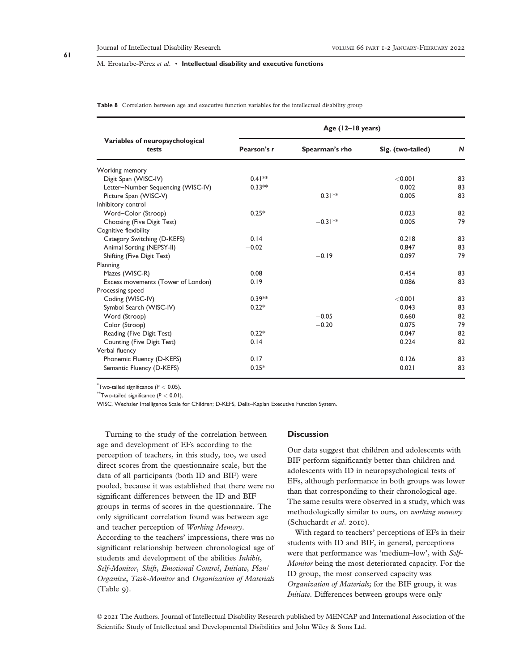**Table 8** Correlation between age and executive function variables for the intellectual disability group

|                                          |             | Age (12-18 years) |                   |              |  |
|------------------------------------------|-------------|-------------------|-------------------|--------------|--|
| Variables of neuropsychological<br>tests | Pearson's r | Spearman's rho    | Sig. (two-tailed) | $\mathsf{N}$ |  |
| Working memory                           |             |                   |                   |              |  |
| Digit Span (WISC-IV)                     | $0.41**$    |                   | < 0.001           | 83           |  |
| Letter-Number Sequencing (WISC-IV)       | $0.33**$    |                   | 0.002             | 83           |  |
| Picture Span (WISC-V)                    |             | $0.31**$          | 0.005             | 83           |  |
| Inhibitory control                       |             |                   |                   |              |  |
| Word-Color (Stroop)                      | $0.25*$     |                   | 0.023             | 82           |  |
| Choosing (Five Digit Test)               |             | $-0.31**$         | 0.005             | 79           |  |
| Cognitive flexibility                    |             |                   |                   |              |  |
| Category Switching (D-KEFS)              | 0.14        |                   | 0.218             | 83           |  |
| Animal Sorting (NEPSY-II)                | $-0.02$     |                   | 0.847             | 83           |  |
| Shifting (Five Digit Test)               |             | $-0.19$           | 0.097             | 79           |  |
| Planning                                 |             |                   |                   |              |  |
| Mazes (WISC-R)                           | 0.08        |                   | 0.454             | 83           |  |
| Excess movements (Tower of London)       | 0.19        |                   | 0.086             | 83           |  |
| Processing speed                         |             |                   |                   |              |  |
| Coding (WISC-IV)                         | $0.39**$    |                   | < 0.001           | 83           |  |
| Symbol Search (WISC-IV)                  | $0.22*$     |                   | 0.043             | 83           |  |
| Word (Stroop)                            |             | $-0.05$           | 0.660             | 82           |  |
| Color (Stroop)                           |             | $-0.20$           | 0.075             | 79           |  |
| Reading (Five Digit Test)                | $0.22*$     |                   | 0.047             | 82           |  |
| Counting (Five Digit Test)               | 0.14        |                   | 0.224             | 82           |  |
| Verbal fluency                           |             |                   |                   |              |  |
| Phonemic Fluency (D-KEFS)                | 0.17        |                   | 0.126             | 83           |  |
| Semantic Fluency (D-KEFS)                | $0.25*$     |                   | 0.021             | 83           |  |

\* Two-tailed significance (*P <* 0.05).

\*\*Two-tailed significance (*P <* 0.01).

WISC, Wechsler Intelligence Scale for Children; D-KEFS, Delis–Kaplan Executive Function System.

Turning to the study of the correlation between age and development of EFs according to the perception of teachers, in this study, too, we used direct scores from the questionnaire scale, but the data of all participants (both ID and BIF) were pooled, because it was established that there were no significant differences between the ID and BIF groups in terms of scores in the questionnaire. The only significant correlation found was between age and teacher perception of *Working Memory*. According to the teachers' impressions, there was no significant relationship between chronological age of students and development of the abilities *Inhibit*, *Self-Monitor*, *Shift*, *Emotional Control*, *Initiate*, *Plan/ Organize*, *Task-Monitor* and *Organization of Materials* (Table 9).

# **Discussion**

Our data suggest that children and adolescents with BIF perform significantly better than children and adolescents with ID in neuropsychological tests of EFs, although performance in both groups was lower than that corresponding to their chronological age. The same results were observed in a study, which was methodologically similar to ours, on *working memory* (Schuchardt *et al*. 2010).

With regard to teachers' perceptions of EFs in their students with ID and BIF, in general, perceptions were that performance was 'medium–low', with *Self-Monitor* being the most deteriorated capacity. For the ID group, the most conserved capacity was *Organization of Materials*; for the BIF group, it was *Initiate*. Differences between groups were only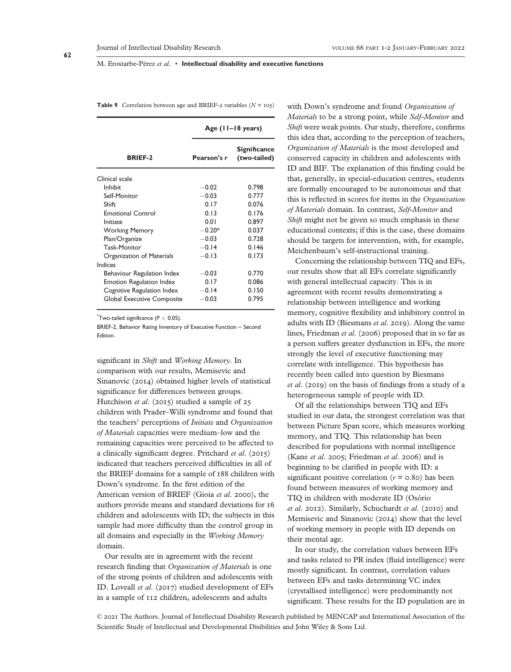**Table 9** Correlation between age and BRIEF-2 variables  $(N = 105)$ 

|                                 | Age $(11-18 \text{ years})$ |                              |  |  |
|---------------------------------|-----------------------------|------------------------------|--|--|
| <b>BRIEF-2</b>                  | Pearson's r                 | Significance<br>(two-tailed) |  |  |
| Clinical scale                  |                             |                              |  |  |
| Inhibit                         | $-0.02$                     | 0.798                        |  |  |
| Self-Monitor                    | $-0.03$                     | 0.777                        |  |  |
| Shift                           | 0.17                        | 0.076                        |  |  |
| <b>Emotional Control</b>        | 0.13                        | 0.176                        |  |  |
| Initiate                        | 0.01                        | 0.897                        |  |  |
| <b>Working Memory</b>           | $-0.20*$                    | 0.037                        |  |  |
| Plan/Organize                   | $-0.03$                     | 0.728                        |  |  |
| <b>Task-Monitor</b>             | $-0.14$                     | 0.146                        |  |  |
| Organization of Materials       | $-0.13$                     | 0.173                        |  |  |
| Indices                         |                             |                              |  |  |
| Behaviour Regulation Index      | $-0.03$                     | 0.770                        |  |  |
| <b>Emotion Regulation Index</b> | 0.17                        | 0.086                        |  |  |
| Cognitive Regulation Index      | $-0.14$                     | 0.150                        |  |  |
| Global Executive Composite      | $-0.03$                     | 0.795                        |  |  |

\* Two-tailed significance (*P <* 0.05).

BRIEF-2, Behavior Rating Inventory of Executive Function – Second Edition.

significant in *Shift* and *Working Memory*. In comparison with our results, Memisevic and Sinanovic (2014) obtained higher levels of statistical significance for differences between groups. Hutchison *et al*. (2015) studied a sample of 25 children with Prader–Willi syndrome and found that the teachers' perceptions of *Initiate* and *Organization of Materials* capacities were medium–low and the remaining capacities were perceived to be affected to a clinically significant degree. Pritchard *et al*. (2015) indicated that teachers perceived difficulties in all of the BRIEF domains for a sample of 188 children with Down's syndrome. In the first edition of the American version of BRIEF (Gioia *et al*. 2000), the authors provide means and standard deviations for 16 children and adolescents with ID; the subjects in this sample had more difficulty than the control group in all domains and especially in the *Working Memory* domain.

Our results are in agreement with the recent research finding that *Organization of Materials* is one of the strong points of children and adolescents with ID. Loveall *et al*. (2017) studied development of EFs in a sample of 112 children, adolescents and adults

with Down's syndrome and found *Organization of Materials* to be a strong point, while *Self-Monitor* and *Shift* were weak points. Our study, therefore, confirms this idea that, according to the perception of teachers, *Organization of Materials* is the most developed and conserved capacity in children and adolescents with ID and BIF. The explanation of this finding could be that, generally, in special-education centres, students are formally encouraged to be autonomous and that this is reflected in scores for items in the *Organization of Materials* domain. In contrast, *Self-Monitor* and *Shift* might not be given so much emphasis in these educational contexts; if this is the case, these domains should be targets for intervention, with, for example, Meichenbaum's self-instructional training.

Concerning the relationship between TIQ and EFs, our results show that all EFs correlate significantly with general intellectual capacity. This is in agreement with recent results demonstrating a relationship between intelligence and working memory, cognitive flexibility and inhibitory control in adults with ID (Biesmans *et al*. 2019). Along the same lines, Friedman *et al*. (2006) proposed that in so far as a person suffers greater dysfunction in EFs, the more strongly the level of executive functioning may correlate with intelligence. This hypothesis has recently been called into question by Biesmans *et al*. (2019) on the basis of findings from a study of a heterogeneous sample of people with ID.

Of all the relationships between TIQ and EFs studied in our data, the strongest correlation was that between Picture Span score, which measures working memory, and TIQ. This relationship has been described for populations with normal intelligence (Kane *et al*. 2005; Friedman *et al*. 2006) and is beginning to be clarified in people with ID: a significant positive correlation  $(r = 0.80)$  has been found between measures of working memory and TIQ in children with moderate ID (Osório *et al*. 2012). Similarly, Schuchardt *et al*. (2010) and Memisevic and Sinanovic (2014) show that the level of working memory in people with ID depends on their mental age.

In our study, the correlation values between EFs and tasks related to PR index (fluid intelligence) were mostly significant. In contrast, correlation values between EFs and tasks determining VC index (crystallised intelligence) were predominantly not significant. These results for the ID population are in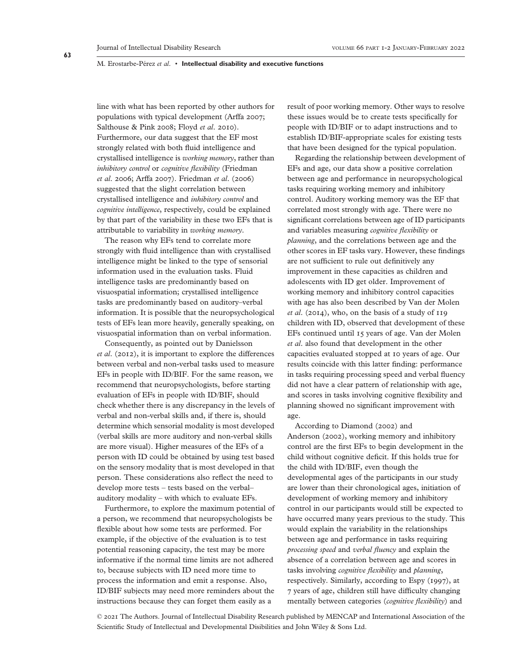line with what has been reported by other authors for populations with typical development (Arffa 2007; Salthouse & Pink 2008; Floyd *et al*. 2010). Furthermore, our data suggest that the EF most strongly related with both fluid intelligence and crystallised intelligence is *working memory*, rather than *inhibitory control* or *cognitive flexibility* (Friedman *et al*. 2006; Arffa 2007). Friedman *et al*. (2006) suggested that the slight correlation between crystallised intelligence and *inhibitory control* and *cognitive intelligence*, respectively, could be explained by that part of the variability in these two EFs that is attributable to variability in *working memory*.

The reason why EFs tend to correlate more strongly with fluid intelligence than with crystallised intelligence might be linked to the type of sensorial information used in the evaluation tasks. Fluid intelligence tasks are predominantly based on visuospatial information; crystallised intelligence tasks are predominantly based on auditory–verbal information. It is possible that the neuropsychological tests of EFs lean more heavily, generally speaking, on visuospatial information than on verbal information.

Consequently, as pointed out by Danielsson *et al*. (2012), it is important to explore the differences between verbal and non-verbal tasks used to measure EFs in people with ID/BIF. For the same reason, we recommend that neuropsychologists, before starting evaluation of EFs in people with ID/BIF, should check whether there is any discrepancy in the levels of verbal and non-verbal skills and, if there is, should determine which sensorial modality is most developed (verbal skills are more auditory and non-verbal skills are more visual). Higher measures of the EFs of a person with ID could be obtained by using test based on the sensory modality that is most developed in that person. These considerations also reflect the need to develop more tests – tests based on the verbal– auditory modality – with which to evaluate EFs.

Furthermore, to explore the maximum potential of a person, we recommend that neuropsychologists be flexible about how some tests are performed. For example, if the objective of the evaluation is to test potential reasoning capacity, the test may be more informative if the normal time limits are not adhered to, because subjects with ID need more time to process the information and emit a response. Also, ID/BIF subjects may need more reminders about the instructions because they can forget them easily as a

result of poor working memory. Other ways to resolve these issues would be to create tests specifically for people with ID/BIF or to adapt instructions and to establish ID/BIF-appropriate scales for existing tests that have been designed for the typical population.

Regarding the relationship between development of EFs and age, our data show a positive correlation between age and performance in neuropsychological tasks requiring working memory and inhibitory control. Auditory working memory was the EF that correlated most strongly with age. There were no significant correlations between age of ID participants and variables measuring *cognitive flexibility* or *planning*, and the correlations between age and the other scores in EF tasks vary. However, these findings are not sufficient to rule out definitively any improvement in these capacities as children and adolescents with ID get older. Improvement of working memory and inhibitory control capacities with age has also been described by Van der Molen *et al*. (2014), who, on the basis of a study of 119 children with ID, observed that development of these EFs continued until 15 years of age. Van der Molen *et al*. also found that development in the other capacities evaluated stopped at 10 years of age. Our results coincide with this latter finding: performance in tasks requiring processing speed and verbal fluency did not have a clear pattern of relationship with age, and scores in tasks involving cognitive flexibility and planning showed no significant improvement with age.

According to Diamond (2002) and Anderson (2002), working memory and inhibitory control are the first EFs to begin development in the child without cognitive deficit. If this holds true for the child with ID/BIF, even though the developmental ages of the participants in our study are lower than their chronological ages, initiation of development of working memory and inhibitory control in our participants would still be expected to have occurred many years previous to the study. This would explain the variability in the relationships between age and performance in tasks requiring *processing speed* and *verbal fluency* and explain the absence of a correlation between age and scores in tasks involving *cognitive flexibility* and *planning*, respectively. Similarly, according to Espy (1997), at 7 years of age, children still have difficulty changing mentally between categories (*cognitive flexibility*) and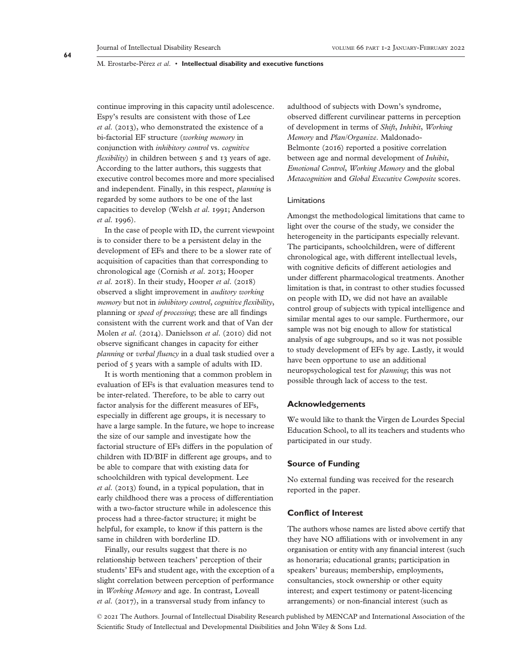continue improving in this capacity until adolescence. Espy's results are consistent with those of Lee *et al*. (2013), who demonstrated the existence of a bi-factorial EF structure (*working memory* in conjunction with *inhibitory control* vs. *cognitive flexibility*) in children between 5 and 13 years of age. According to the latter authors, this suggests that executive control becomes more and more specialised and independent. Finally, in this respect, *planning* is regarded by some authors to be one of the last capacities to develop (Welsh *et al*. 1991; Anderson *et al*. 1996).

In the case of people with ID, the current viewpoint is to consider there to be a persistent delay in the development of EFs and there to be a slower rate of acquisition of capacities than that corresponding to chronological age (Cornish *et al*. 2013; Hooper *et al*. 2018). In their study, Hooper *et al*. (2018) observed a slight improvement in *auditory working memory* but not in *inhibitory control*, *cognitive flexibility*, planning or *speed of processing*; these are all findings consistent with the current work and that of Van der Molen *et al*. (2014). Danielsson *et al*. (2010) did not observe significant changes in capacity for either *planning* or *verbal fluency* in a dual task studied over a period of 5 years with a sample of adults with ID.

It is worth mentioning that a common problem in evaluation of EFs is that evaluation measures tend to be inter-related. Therefore, to be able to carry out factor analysis for the different measures of EFs, especially in different age groups, it is necessary to have a large sample. In the future, we hope to increase the size of our sample and investigate how the factorial structure of EFs differs in the population of children with ID/BIF in different age groups, and to be able to compare that with existing data for schoolchildren with typical development. Lee *et al*. (2013) found, in a typical population, that in early childhood there was a process of differentiation with a two-factor structure while in adolescence this process had a three-factor structure; it might be helpful, for example, to know if this pattern is the same in children with borderline ID.

Finally, our results suggest that there is no relationship between teachers' perception of their students' EFs and student age, with the exception of a slight correlation between perception of performance in *Working Memory* and age. In contrast, Loveall *et al*. (2017), in a transversal study from infancy to

adulthood of subjects with Down's syndrome, observed different curvilinear patterns in perception of development in terms of *Shift*, *Inhibit*, *Working Memory* and *Plan/Organize*. Maldonado-Belmonte (2016) reported a positive correlation between age and normal development of *Inhibit*, *Emotional Control*, *Working Memory* and the global *Metacognition* and *Global Executive Composite* scores.

#### Limitations

Amongst the methodological limitations that came to light over the course of the study, we consider the heterogeneity in the participants especially relevant. The participants, schoolchildren, were of different chronological age, with different intellectual levels, with cognitive deficits of different aetiologies and under different pharmacological treatments. Another limitation is that, in contrast to other studies focussed on people with ID, we did not have an available control group of subjects with typical intelligence and similar mental ages to our sample. Furthermore, our sample was not big enough to allow for statistical analysis of age subgroups, and so it was not possible to study development of EFs by age. Lastly, it would have been opportune to use an additional neuropsychological test for *planning*; this was not possible through lack of access to the test.

# **Acknowledgements**

We would like to thank the Virgen de Lourdes Special Education School, to all its teachers and students who participated in our study.

#### **Source of Funding**

No external funding was received for the research reported in the paper.

# **Conflict of Interest**

The authors whose names are listed above certify that they have NO affiliations with or involvement in any organisation or entity with any financial interest (such as honoraria; educational grants; participation in speakers' bureaus; membership, employments, consultancies, stock ownership or other equity interest; and expert testimony or patent-licencing arrangements) or non-financial interest (such as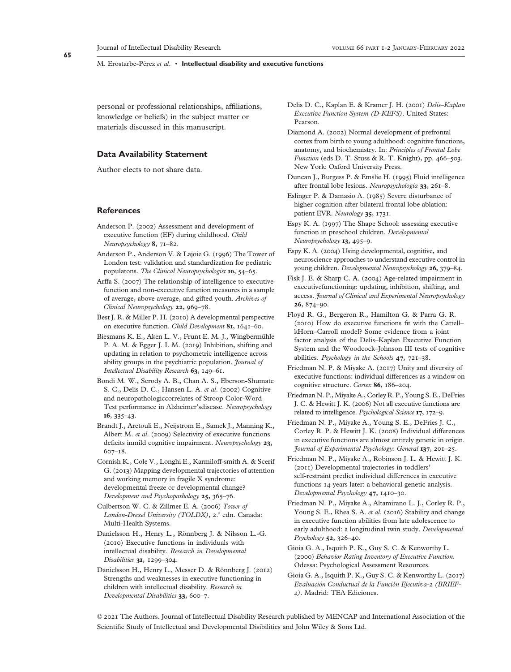personal or professional relationships, affiliations, knowledge or beliefs) in the subject matter or materials discussed in this manuscript.

# **Data Availability Statement**

Author elects to not share data.

## **References**

- Anderson P. (2002) Assessment and development of executive function (EF) during childhood. *Child Neuropsychology* **8**, 71–82.
- Anderson P., Anderson V. & Lajoie G. (1996) The Tower of London test: validation and standardization for pediatric populatons. *The Clinical Neuropsychologist* **10**, 54–65.
- Arffa S. (2007) The relationship of intelligence to executive function and non-executive function measures in a sample of average, above average, and gifted youth. *Archives of Clinical Neuropsychology* **22**, 969–78.
- Best J. R. & Miller P. H. (2010) A developmental perspective on executive function. *Child Development* **81**, 1641–60.
- Biesmans K. E., Aken L. V., Frunt E. M. J., Wingbermühle P. A. M. & Egger J. I. M. (2019) Inhibition, shifting and updating in relation to psychometric intelligence across ability groups in the psychiatric population. *Journal of Intellectual Disability Research* **63**, 149–61.
- Bondi M. W., Serody A. B., Chan A. S., Eberson-Shumate S. C., Delis D. C., Hansen L. A. *et al*. (2002) Cognitive and neuropathologiccorrelates of Stroop Color-Word Test performance in Alzheimer'sdisease. *Neuropsychology* **16**, 335–43.
- Brandt J., Aretouli E., Neijstrom E., Samek J., Manning K., Albert M. *et al*. (2009) Selectivity of executive functions deficits inmild cognitive impairment. *Neuropsychology* **23**, 607–18.
- Cornish K., Cole V., Longhi E., Karmiloff-smith A. & Scerif G. (2013) Mapping developmental trajectories of attention and working memory in fragile X syndrome: developmental freeze or developmental change? *Development and Psychopathology* **25**, 365–76.
- Culbertson W. C. & Zillmer E. A. (2006) *Tower of London-Drexel University (TOLDX)*, 2.ª edn. Canada: Multi-Health Systems.
- Danielsson H., Henry L., Rönnberg J. & Nilsson L.-G. (2010) Executive functions in individuals with intellectual disability. *Research in Developmental Disabilities* **31**, 1299–304.
- Danielsson H., Henry L., Messer D. & Rönnberg J. (2012) Strengths and weaknesses in executive functioning in children with intellectual disability. *Research in Developmental Disabilities* **33**, 600–7.
- Delis D. C., Kaplan E. & Kramer J. H. (2001) *Delis–Kaplan Executive Function System (D-KEFS)*. United States: Pearson.
- Diamond A. (2002) Normal development of prefrontal cortex from birth to young adulthood: cognitive functions, anatomy, and biochemistry. In: *Principles of Frontal Lobe Function* (eds D. T. Stuss & R. T. Knight), pp. 466–503. New York: Oxford University Press.
- Duncan J., Burgess P. & Emslie H. (1995) Fluid intelligence after frontal lobe lesions. *Neuropsychologia* **33**, 261–8.
- Eslinger P. & Damasio A. (1985) Severe disturbance of higher cognition after bilateral frontal lobe ablation: patient EVR. *Neurology* **35**, 1731.
- Espy K. A. (1997) The Shape School: assessing executive function in preschool children. *Developmental Neuropsychology* **13**, 495–9.
- Espy K. A. (2004) Using developmental, cognitive, and neuroscience approaches to understand executive control in young children. *Developmental Neuropsychology* **26**, 379–84.
- Fisk J. E. & Sharp C. A. (2004) Age-related impairment in executivefunctioning: updating, inhibition, shifting, and access. *Journal of Clinical and Experimental Neuropsychology* **26**, 874–90.
- Floyd R. G., Bergeron R., Hamilton G. & Parra G. R. (2010) How do executive functions fit with the Cattell– kHorn–Carroll model? Some evidence from a joint factor analysis of the Delis–Kaplan Executive Function System and the Woodcock–Johnson III tests of cognitive abilities. *Psychology in the Schools* **47**, 721–38.
- Friedman N. P. & Miyake A. (2017) Unity and diversity of executive functions: individual differences as a window on cognitive structure. *Cortex* **86**, 186–204.
- Friedman N. P., Miyake A., Corley R. P., Young S. E., DeFries J. C. & Hewitt J. K. (2006) Not all executive functions are related to intelligence. *Psychological Science* **17**, 172–9.
- Friedman N. P., Miyake A., Young S. E., DeFries J. C., Corley R. P. & Hewitt J. K. (2008) Individual differences in executive functions are almost entirely genetic in origin. *Journal of Experimental Psychology: General* **137**, 201–25.
- Friedman N. P., Miyake A., Robinson J. L. & Hewitt J. K. (2011) Developmental trajectories in toddlers' self-restraint predict individual differences in executive functions 14 years later: a behavioral genetic analysis. *Developmental Psychology* **47**, 1410–30.
- Friedman N. P., Miyake A., Altamirano L. J., Corley R. P., Young S. E., Rhea S. A. *et al*. (2016) Stability and change in executive function abilities from late adolescence to early adulthood: a longitudinal twin study. *Developmental Psychology* **52**, 326–40.
- Gioia G. A., Isquith P. K., Guy S. C. & Kenworthy L. (2000) *Behavior Rating Inventory of Executive Function*. Odessa: Psychological Assessment Resources.
- Gioia G. A., Isquith P. K., Guy S. C. & Kenworthy L. (2017) *Evaluación Conductual de la Función Ejecutiva-2 (BRIEF-2)*. Madrid: TEA Ediciones.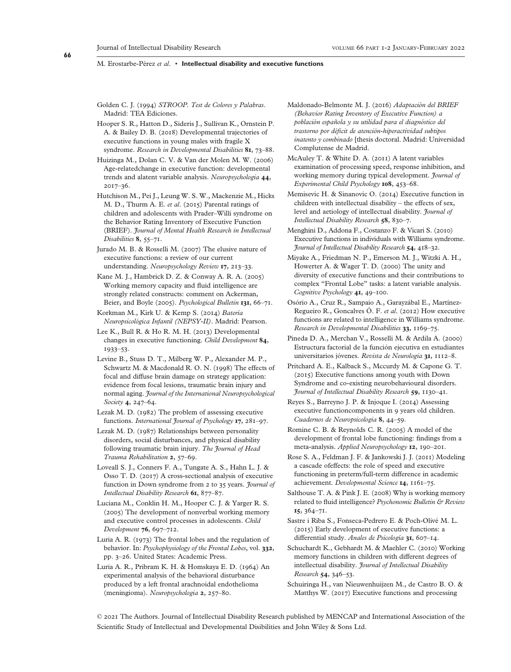- Golden C. J. (1994) *STROOP. Test de Colores y Palabras*. Madrid: TEA Ediciones.
- Hooper S. R., Hatton D., Sideris J., Sullivan K., Ornstein P. A. & Bailey D. B. (2018) Developmental trajectories of executive functions in young males with fragile X syndrome. *Research in Developmental Disabilities* **81**, 73–88.
- Huizinga M., Dolan C. V. & Van der Molen M. W. (2006) Age-relatedchange in executive function: developmental trends and alatent variable analysis. *Neuropsychologia* **44**, 2017–36.
- Hutchison M., Pei J., Leung W. S. W., Mackenzie M., Hicks M. D., Thurm A. E. *et al*. (2015) Parental ratings of children and adolescents with Prader–Willi syndrome on the Behavior Rating Inventory of Executive Function (BRIEF). *Journal of Mental Health Research in Intellectual Disabilities* **8**, 55–71.
- Jurado M. B. & Rosselli M. (2007) The elusive nature of executive functions: a review of our current understanding. *Neuropsychology Review* **17**, 213–33.
- Kane M. J., Hambrick D. Z. & Conway A. R. A. (2005) Working memory capacity and fluid intelligence are strongly related constructs: comment on Ackerman, Beier, and Boyle (2005). *Psychological Bulletin* **131**, 66–71.
- Korkman M., Kirk U. & Kemp S. (2014) *Batería Neuropsicológica Infantil (NEPSY-II)*. Madrid: Pearson.
- Lee K., Bull R. & Ho R. M. H. (2013) Developmental changes in executive functioning. *Child Development* **84**, 1933–53.
- Levine B., Stuss D. T., Milberg W. P., Alexander M. P., Schwartz M. & Macdonald R. O. N. (1998) The effects of focal and diffuse brain damage on strategy application: evidence from focal lesions, traumatic brain injury and normal aging. *Journal of the International Neuropsychological Society* **4**, 247–64.
- Lezak M. D. (1982) The problem of assessing executive functions. *International Journal of Psychology* **17**, 281–97.
- Lezak M. D. (1987) Relationships between personality disorders, social disturbances, and physical disability following traumatic brain injury. *The Journal of Head Trauma Rehabilitation* **2**, 57–69.
- Loveall S. J., Conners F. A., Tungate A. S., Hahn L. J. & Osso T. D. (2017) A cross-sectional analysis of executive function in Down syndrome from 2 to 35 years. *Journal of Intellectual Disability Research* **61**, 877–87.
- Luciana M., Conklin H. M., Hooper C. J. & Yarger R. S. (2005) The development of nonverbal working memory and executive control processes in adolescents. *Child Development* **76**, 697–712.
- Luria A. R. (1973) The frontal lobes and the regulation of behavior. In: *Psychophysiology of the Frontal Lobes*, vol. **332**, pp. 3–26. United States: Academic Press.
- Luria A. R., Pribram K. H. & Homskaya E. D. (1964) An experimental analysis of the behavioral disturbance produced by a left frontal arachnoidal endothelioma (meningioma). *Neuropsychologia* **2**, 257–80.
- Maldonado-Belmonte M. J. (2016) *Adaptación del BRIEF (Behavior Rating Inventory of Executive Function) a población española y su utilidad para el diagnóstico del trastorno por déficit de atención-hiperactividad subtipos inatento y combinado* [thesis doctoral. Madrid: Universidad Complutense de Madrid.
- McAuley T. & White D. A. (2011) A latent variables examination of processing speed, response inhibition, and working memory during typical development. *Journal of Experimental Child Psychology* **108**, 453–68.
- Memisevic H. & Sinanovic O. (2014) Executive function in children with intellectual disability – the effects of sex, level and aetiology of intellectual disability. *Journal of Intellectual Disability Research* **58**, 830–7.
- Menghini D., Addona F., Costanzo F. & Vicari S. (2010) Executive functions in individuals with Williams syndrome. *Journal of Intellectual Disability Research* **54**, 418–32.
- Miyake A., Friedman N. P., Emerson M. J., Witzki A. H., Howerter A. & Wager T. D. (2000) The unity and diversity of executive functions and their contributions to complex "Frontal Lobe" tasks: a latent variable analysis. *Cognitive Psychology* **41**, 49–100.
- Osório A., Cruz R., Sampaio A., Garayzábal E., Martínez-Regueiro R., Goncalves Ó. F. *et al*. (2012) How executive functions are related to intelligence in Williams syndrome. *Research in Developmental Disabilities* **33**, 1169–75.
- Pineda D. A., Merchan V., Rosselli M. & Ardila A. (2000) Estructura factorial de la función ejecutiva en estudiantes universitarios jóvenes. *Revista de Neurologia* **31**, 1112–8.
- Pritchard A. E., Kalback S., Mccurdy M. & Capone G. T. (2015) Executive functions among youth with Down Syndrome and co-existing neurobehavioural disorders. *Journal of Intellectual Disability Research* **59**, 1130–41.
- Reyes S., Barreyno J. P. & Injoque I. (2014) Assessing executive functioncomponents in 9 years old children. *Cuadernos de Neuropsicologia* **8**, 44–59.
- Romine C. B. & Reynolds C. R. (2005) A model of the development of frontal lobe functioning: findings from a meta-analysis. *Applied Neuropsychology* **12**, 190–201.
- Rose S. A., Feldman J. F. & Jankowski J. J. (2011) Modeling a cascade ofeffects: the role of speed and executive functioning in preterm/full-term difference in academic achievement. *Developmental Science* **14**, 1161–75.
- Salthouse T. A. & Pink J. E. (2008) Why is working memory related to fluid intelligence? *Psychonomic Bulletin & Review* **15**, 364–71.
- Sastre i Riba S., Fonseca-Pedrero E. & Poch-Olivé M. L. (2015) Early development of executive functions: a differential study. *Anales de Psicología* **31**, 607–14.
- Schuchardt K., Gebhardt M. & Maehler C. (2010) Working memory functions in children with different degrees of intellectual disability. *Journal of Intellectual Disability Research* **54**, 346–53.
- Schuiringa H., van Nieuwenhuijzen M., de Castro B. O. & Matthys W. (2017) Executive functions and processing